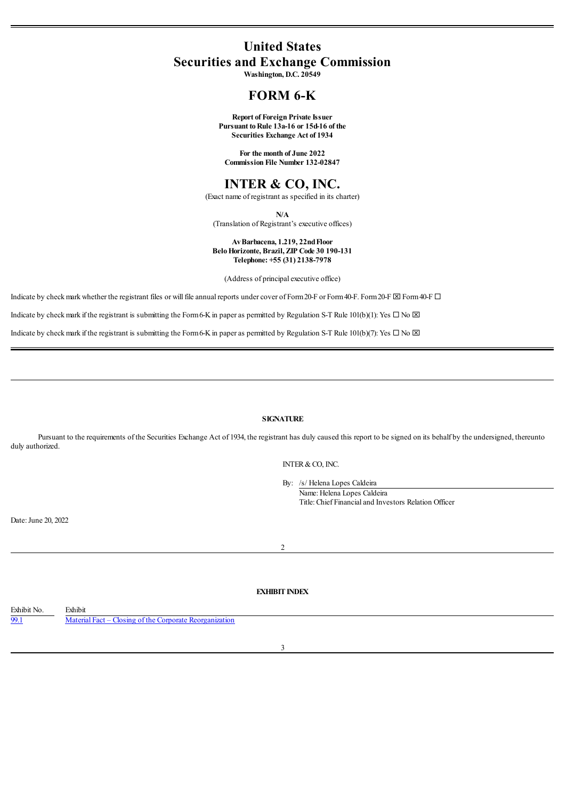# **United States Securities and Exchange Commission**

**Washington, D.C. 20549**

# **FORM 6-K**

**Report of Foreign Private Issuer Pursuant toRule 13a-16 or 15d-16 of the Securities Exchange Act of 1934**

**For the month of June 2022 Commission File Number 132-02847**

# **INTER & CO, INC.**

(Exact name of registrant as specified in its charter)

**N/A**

(Translation of Registrant's executive offices)

#### **AvBarbacena, 1.219, 22ndFloor BeloHorizonte, Brazil, ZIP Code 30 190-131 Telephone: +55 (31) 2138-7978**

(Address of principal executive office)

Indicate by check mark whether the registrant files or will file annual reports under cover of Form 20-F or Form 40-F. Form 20-F  $\boxtimes$  Form40-F.

Indicate by check mark if the registrant is submitting the Form6-K in paper as permitted by Regulation S-T Rule 101(b)(1): Yes  $\Box$  No  $\boxtimes$ 

Indicate by check mark if the registrant is submitting the Form 6-K in paper as permitted by Regulation S-T Rule 101(b)(7): Yes  $\Box$  No  $\boxtimes$ 

# **SIGNATURE**

Pursuant to the requirements of the Securities Exchange Act of 1934, the registrant has duly caused this report to be signed on its behalf by the undersigned, thereunto duly authorized.

INTER&CO, INC.

By: /s/ Helena Lopes Caldeira

Name: Helena Lopes Caldeira Title: Chief Financialand Investors Relation Officer

Date: June 20, 2022

#### 2

# **EXHIBIT INDEX**

<span id="page-0-0"></span>Exhibit No. Exhibit [99.1](#page-0-0) Material Fact – Closing of the Corporate [Reorganization](#page-0-0)